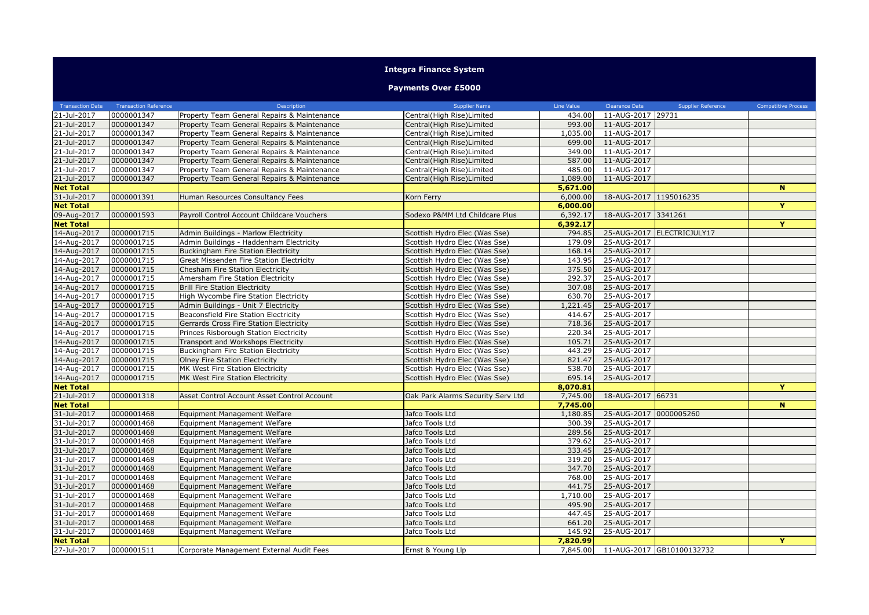## **Integra Finance System**

## **Payments Over £5000**

| <b>Transaction Date</b> | <b>Transaction Reference</b> | Description                                 | Supplier Name                     | Line Value | Clearance Date         | Supplier Reference                 | <b>Competitive Process</b> |
|-------------------------|------------------------------|---------------------------------------------|-----------------------------------|------------|------------------------|------------------------------------|----------------------------|
| 21-Jul-2017             | 0000001347                   | Property Team General Repairs & Maintenance | Central(High Rise)Limited         | 434.00     | 11-AUG-2017 29731      |                                    |                            |
| 21-Jul-2017             | 0000001347                   | Property Team General Repairs & Maintenance | Central(High Rise)Limited         | 993.00     | 11-AUG-2017            |                                    |                            |
| 21-Jul-2017             | 0000001347                   | Property Team General Repairs & Maintenance | Central(High Rise)Limited         | 1,035.00   | 11-AUG-2017            |                                    |                            |
| 21-Jul-2017             | 0000001347                   | Property Team General Repairs & Maintenance | Central(High Rise)Limited         | 699.00     | 11-AUG-2017            |                                    |                            |
| 21-Jul-2017             | 0000001347                   | Property Team General Repairs & Maintenance | Central(High Rise)Limited         | 349.00     | 11-AUG-2017            |                                    |                            |
| 21-Jul-2017             | 0000001347                   | Property Team General Repairs & Maintenance | Central(High Rise)Limited         | 587.00     | 11-AUG-2017            |                                    |                            |
| 21-Jul-2017             | 0000001347                   | Property Team General Repairs & Maintenance | Central(High Rise)Limited         | 485.00     | 11-AUG-2017            |                                    |                            |
| 21-Jul-2017             | 0000001347                   | Property Team General Repairs & Maintenance | Central(High Rise)Limited         | 1,089.00   | 11-AUG-2017            |                                    |                            |
| <b>Net Total</b>        |                              |                                             |                                   | 5,671.00   |                        |                                    | $\mathbf N$                |
| 31-Jul-2017             | 0000001391                   | Human Resources Consultancy Fees            | Korn Ferry                        | 6,000.00   | 18-AUG-2017 1195016235 |                                    |                            |
| <b>Net Total</b>        |                              |                                             |                                   | 6,000.00   |                        |                                    | Y                          |
| 09-Aug-2017             | 0000001593                   | Payroll Control Account Childcare Vouchers  | Sodexo P&MM Ltd Childcare Plus    | 6,392.17   | 18-AUG-2017 3341261    |                                    |                            |
| <b>Net Total</b>        |                              |                                             |                                   | 6,392.17   |                        |                                    | Y                          |
| 14-Aug-2017             | 0000001715                   | Admin Buildings - Marlow Electricity        | Scottish Hydro Elec (Was Sse)     | 794.85     |                        | 25-AUG-2017 ELECTRICJULY17         |                            |
| 14-Aug-2017             | 0000001715                   | Admin Buildings - Haddenham Electricity     | Scottish Hydro Elec (Was Sse)     | 179.09     | 25-AUG-2017            |                                    |                            |
| 14-Aug-2017             | 0000001715                   | <b>Buckingham Fire Station Electricity</b>  | Scottish Hydro Elec (Was Sse)     | 168.14     | 25-AUG-2017            |                                    |                            |
| 14-Aug-2017             | 0000001715                   | Great Missenden Fire Station Electricity    | Scottish Hydro Elec (Was Sse)     | 143.95     | 25-AUG-2017            |                                    |                            |
| 14-Aug-2017             | 0000001715                   | Chesham Fire Station Electricity            | Scottish Hydro Elec (Was Sse)     | 375.50     | 25-AUG-2017            |                                    |                            |
| 14-Aug-2017             | 0000001715                   | Amersham Fire Station Electricity           | Scottish Hydro Elec (Was Sse)     | 292.37     | 25-AUG-2017            |                                    |                            |
| 14-Aug-2017             | 0000001715                   | <b>Brill Fire Station Electricity</b>       | Scottish Hydro Elec (Was Sse)     | 307.08     | 25-AUG-2017            |                                    |                            |
| 14-Aug-2017             | 0000001715                   | High Wycombe Fire Station Electricity       | Scottish Hydro Elec (Was Sse)     | 630.70     | 25-AUG-2017            |                                    |                            |
| 14-Aug-2017             | 0000001715                   | Admin Buildings - Unit 7 Electricity        | Scottish Hydro Elec (Was Sse)     | 1,221.45   | 25-AUG-2017            |                                    |                            |
| 14-Aug-2017             | 0000001715                   | Beaconsfield Fire Station Electricity       | Scottish Hydro Elec (Was Sse)     | 414.67     | 25-AUG-2017            |                                    |                            |
| 14-Aug-2017             | 0000001715                   | Gerrards Cross Fire Station Electricity     | Scottish Hydro Elec (Was Sse)     | 718.36     | 25-AUG-2017            |                                    |                            |
| 14-Aug-2017             | 0000001715                   | Princes Risborough Station Electricity      | Scottish Hydro Elec (Was Sse)     | 220.34     | 25-AUG-2017            |                                    |                            |
| 14-Aug-2017             | 0000001715                   | Transport and Workshops Electricity         | Scottish Hydro Elec (Was Sse)     | 105.71     | 25-AUG-2017            |                                    |                            |
| 14-Aug-2017             | 0000001715                   | Buckingham Fire Station Electricity         | Scottish Hydro Elec (Was Sse)     | 443.29     | 25-AUG-2017            |                                    |                            |
| 14-Aug-2017             | 0000001715                   | <b>Olney Fire Station Electricity</b>       | Scottish Hydro Elec (Was Sse)     | 821.47     | 25-AUG-2017            |                                    |                            |
| 14-Aug-2017             | 0000001715                   | MK West Fire Station Electricity            | Scottish Hydro Elec (Was Sse)     | 538.70     | 25-AUG-2017            |                                    |                            |
| 14-Aug-2017             | 0000001715                   | MK West Fire Station Electricity            | Scottish Hydro Elec (Was Sse)     | 695.14     | 25-AUG-2017            |                                    |                            |
| <b>Net Total</b>        |                              |                                             |                                   | 8,070.81   |                        |                                    | Y                          |
| 21-Jul-2017             | 0000001318                   | Asset Control Account Asset Control Account | Oak Park Alarms Security Serv Ltd | 7,745.00   | 18-AUG-2017 66731      |                                    |                            |
| <b>Net Total</b>        |                              |                                             |                                   | 7,745.00   |                        |                                    | $\mathbf N$                |
| 31-Jul-2017             | 0000001468                   | Equipment Management Welfare                | Jafco Tools Ltd                   | 1,180.85   | 25-AUG-2017 0000005260 |                                    |                            |
| 31-Jul-2017             | 0000001468                   | Equipment Management Welfare                | Jafco Tools Ltd                   | 300.39     | 25-AUG-2017            |                                    |                            |
| 31-Jul-2017             | 0000001468                   | Equipment Management Welfare                | Jafco Tools Ltd                   | 289.56     | 25-AUG-2017            |                                    |                            |
| 31-Jul-2017             | 0000001468                   | Equipment Management Welfare                | Jafco Tools Ltd                   | 379.62     | 25-AUG-2017            |                                    |                            |
| 31-Jul-2017             | 0000001468                   | Equipment Management Welfare                | Jafco Tools Ltd                   | 333.45     | 25-AUG-2017            |                                    |                            |
| 31-Jul-2017             | 0000001468                   | Equipment Management Welfare                | Jafco Tools Ltd                   | 319.20     | 25-AUG-2017            |                                    |                            |
| 31-Jul-2017             | 0000001468                   | Equipment Management Welfare                | Jafco Tools Ltd                   | 347.70     | 25-AUG-2017            |                                    |                            |
| 31-Jul-2017             | 0000001468                   | Equipment Management Welfare                | Jafco Tools Ltd                   | 768.00     | 25-AUG-2017            |                                    |                            |
| 31-Jul-2017             | 0000001468                   | Equipment Management Welfare                | Jafco Tools Ltd                   | 441.75     | 25-AUG-2017            |                                    |                            |
| 31-Jul-2017             | 0000001468                   | Equipment Management Welfare                | Jafco Tools Ltd                   | 1,710.00   | 25-AUG-2017            |                                    |                            |
| 31-Jul-2017             | 0000001468                   | Equipment Management Welfare                | Jafco Tools Ltd                   | 495.90     | 25-AUG-2017            |                                    |                            |
| 31-Jul-2017             | 0000001468                   | Equipment Management Welfare                | Jafco Tools Ltd                   | 447.45     | 25-AUG-2017            |                                    |                            |
| 31-Jul-2017             | 0000001468                   | Equipment Management Welfare                | Jafco Tools Ltd                   | 661.20     | 25-AUG-2017            |                                    |                            |
| 31-Jul-2017             | 0000001468                   | Equipment Management Welfare                | Jafco Tools Ltd                   | 145.92     | 25-AUG-2017            |                                    |                            |
| <b>Net Total</b>        |                              |                                             |                                   | 7,820.99   |                        |                                    | Y                          |
| 27-Jul-2017             | 0000001511                   | Corporate Management External Audit Fees    | Ernst & Young Llp                 |            |                        | 7,845.00 11-AUG-2017 GB10100132732 |                            |